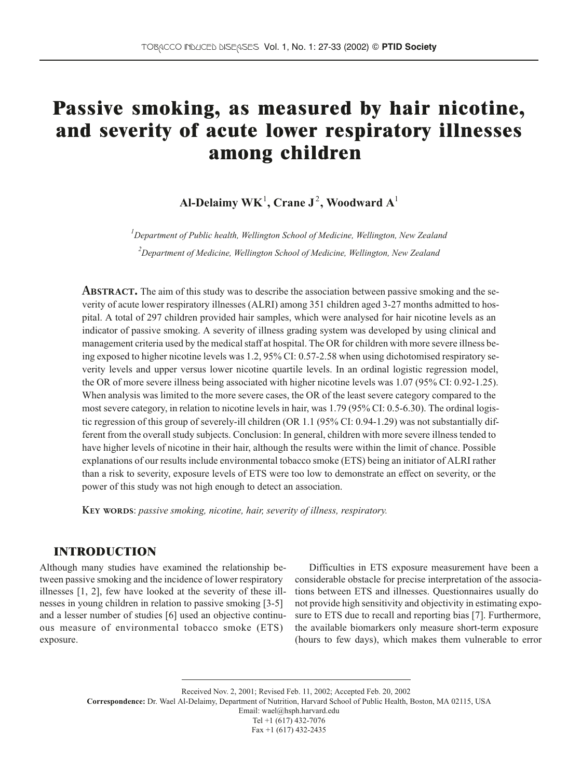# Passive smoking, as measured by hair nicotine, and severity of acute lower respiratory illnesses among children

**Al-Delaimy WK**<sup>1</sup> **, Crane J**<sup>2</sup> **, Woodward A**<sup>1</sup>

*1 Department of Public health, Wellington School of Medicine, Wellington, New Zealand*

*2 Department of Medicine, Wellington School of Medicine, Wellington, New Zealand*

**ABSTRACT.** The aim of this study was to describe the association between passive smoking and the severity of acute lower respiratory illnesses (ALRI) among 351 children aged 3-27 months admitted to hospital. A total of 297 children provided hair samples, which were analysed for hair nicotine levels as an indicator of passive smoking. A severity of illness grading system was developed by using clinical and management criteria used by the medical staff at hospital. The OR for children with more severe illness being exposed to higher nicotine levels was 1.2, 95% CI: 0.57-2.58 when using dichotomised respiratory severity levels and upper versus lower nicotine quartile levels. In an ordinal logistic regression model, the OR of more severe illness being associated with higher nicotine levels was 1.07 (95% CI: 0.92-1.25). When analysis was limited to the more severe cases, the OR of the least severe category compared to the most severe category, in relation to nicotine levels in hair, was 1.79 (95% CI: 0.5-6.30). The ordinal logistic regression of this group of severely-ill children (OR 1.1 (95% CI: 0.94-1.29) was not substantially different from the overall study subjects. Conclusion: In general, children with more severe illness tended to have higher levels of nicotine in their hair, although the results were within the limit of chance. Possible explanations of our results include environmental tobacco smoke (ETS) being an initiator of ALRI rather than a risk to severity, exposure levels of ETS were too low to demonstrate an effect on severity, or the power of this study was not high enough to detect an association.

Key words: *passive smoking, nicotine, hair, severity of illness, respiratory.*

# INTRODUCTION

Although many studies have examined the relationship between passive smoking and the incidence of lower respiratory illnesses [1, 2], few have looked at the severity of these illnesses in young children in relation to passive smoking [3-5] and a lesser number of studies [6] used an objective continuous measure of environmental tobacco smoke (ETS) exposure.

Difficulties in ETS exposure measurement have been a considerable obstacle for precise interpretation of the associations between ETS and illnesses. Questionnaires usually do not provide high sensitivity and objectivity in estimating exposure to ETS due to recall and reporting bias [7]. Furthermore, the available biomarkers only measure short-term exposure (hours to few days), which makes them vulnerable to error

Received Nov. 2, 2001; Revised Feb. 11, 2002; Accepted Feb. 20, 2002 **Correspondence:** Dr. Wael Al-Delaimy, Department of Nutrition, Harvard School of Public Health, Boston, MA 02115, USA Email: wael@hsph.harvard.edu Tel +1 (617) 432-7076 Fax +1 (617) 432-2435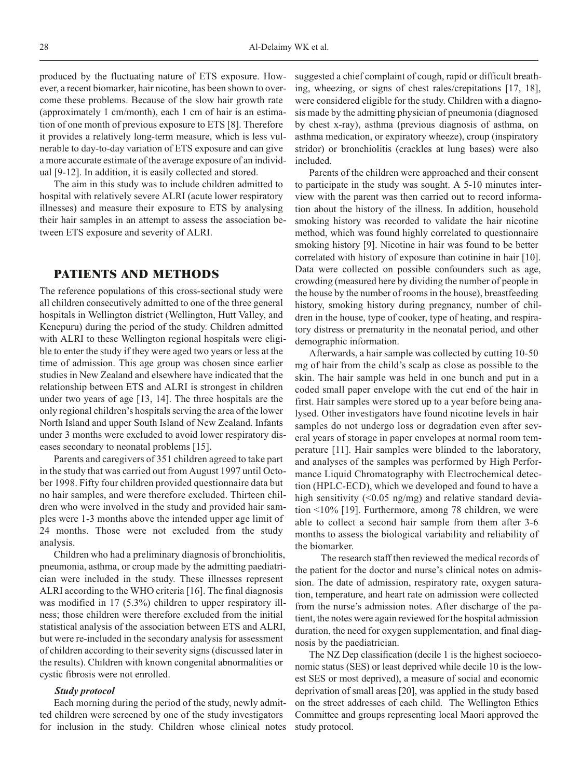produced by the fluctuating nature of ETS exposure. However, a recent biomarker, hair nicotine, has been shown to overcome these problems. Because of the slow hair growth rate (approximately 1 cm/month), each 1 cm of hair is an estimation of one month of previous exposure to ETS [8]. Therefore it provides a relatively long-term measure, which is less vulnerable to day-to-day variation of ETS exposure and can give a more accurate estimate of the average exposure of an individual [9-12]. In addition, it is easily collected and stored.

The aim in this study was to include children admitted to hospital with relatively severe ALRI (acute lower respiratory illnesses) and measure their exposure to ETS by analysing their hair samples in an attempt to assess the association between ETS exposure and severity of ALRI.

## PATIENTS AND METHODS

The reference populations of this cross-sectional study were all children consecutively admitted to one of the three general hospitals in Wellington district (Wellington, Hutt Valley, and Kenepuru) during the period of the study. Children admitted with ALRI to these Wellington regional hospitals were eligible to enter the study if they were aged two years or less at the time of admission. This age group was chosen since earlier studies in New Zealand and elsewhere have indicated that the relationship between ETS and ALRI is strongest in children under two years of age [13, 14]. The three hospitals are the only regional children's hospitals serving the area of the lower North Island and upper South Island of New Zealand. Infants under 3 months were excluded to avoid lower respiratory diseases secondary to neonatal problems [15].

Parents and caregivers of 351 children agreed to take part in the study that was carried out from August 1997 until October 1998. Fifty four children provided questionnaire data but no hair samples, and were therefore excluded. Thirteen children who were involved in the study and provided hair samples were 1-3 months above the intended upper age limit of 24 months. Those were not excluded from the study analysis.

Children who had a preliminary diagnosis of bronchiolitis, pneumonia, asthma, or croup made by the admitting paediatrician were included in the study. These illnesses represent ALRI according to the WHO criteria [16]. The final diagnosis was modified in 17 (5.3%) children to upper respiratory illness; those children were therefore excluded from the initial statistical analysis of the association between ETS and ALRI, but were re-included in the secondary analysis for assessment of children according to their severity signs (discussed later in the results). Children with known congenital abnormalities or cystic fibrosis were not enrolled.

### *Study protocol*

Each morning during the period of the study, newly admitted children were screened by one of the study investigators for inclusion in the study. Children whose clinical notes suggested a chief complaint of cough, rapid or difficult breathing, wheezing, or signs of chest rales/crepitations [17, 18], were considered eligible for the study. Children with a diagnosis made by the admitting physician of pneumonia (diagnosed by chest x-ray), asthma (previous diagnosis of asthma, on asthma medication, or expiratory wheeze), croup (inspiratory stridor) or bronchiolitis (crackles at lung bases) were also included.

Parents of the children were approached and their consent to participate in the study was sought. A 5-10 minutes interview with the parent was then carried out to record information about the history of the illness. In addition, household smoking history was recorded to validate the hair nicotine method, which was found highly correlated to questionnaire smoking history [9]. Nicotine in hair was found to be better correlated with history of exposure than cotinine in hair [10]. Data were collected on possible confounders such as age, crowding (measured here by dividing the number of people in the house by the number of rooms in the house), breastfeeding history, smoking history during pregnancy, number of children in the house, type of cooker, type of heating, and respiratory distress or prematurity in the neonatal period, and other demographic information.

Afterwards, a hair sample was collected by cutting 10-50 mg of hair from the child's scalp as close as possible to the skin. The hair sample was held in one bunch and put in a coded small paper envelope with the cut end of the hair in first. Hair samples were stored up to a year before being analysed. Other investigators have found nicotine levels in hair samples do not undergo loss or degradation even after several years of storage in paper envelopes at normal room temperature [11]. Hair samples were blinded to the laboratory, and analyses of the samples was performed by High Performance Liquid Chromatography with Electrochemical detection (HPLC-ECD), which we developed and found to have a high sensitivity  $\left($  < 0.05 ng/mg) and relative standard deviation <10% [19]. Furthermore, among 78 children, we were able to collect a second hair sample from them after 3-6 months to assess the biological variability and reliability of the biomarker.

The research staff then reviewed the medical records of the patient for the doctor and nurse's clinical notes on admission. The date of admission, respiratory rate, oxygen saturation, temperature, and heart rate on admission were collected from the nurse's admission notes. After discharge of the patient, the notes were again reviewed for the hospital admission duration, the need for oxygen supplementation, and final diagnosis by the paediatrician.

The NZ Dep classification (decile 1 is the highest socioeconomic status (SES) or least deprived while decile 10 is the lowest SES or most deprived), a measure of social and economic deprivation of small areas [20], was applied in the study based on the street addresses of each child. The Wellington Ethics Committee and groups representing local Maori approved the study protocol.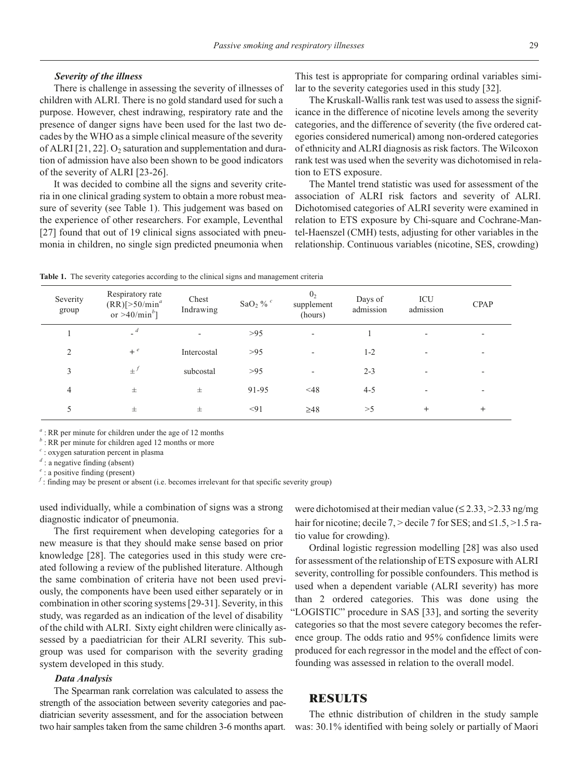#### *Severity of the illness*

There is challenge in assessing the severity of illnesses of children with ALRI. There is no gold standard used for such a purpose. However, chest indrawing, respiratory rate and the presence of danger signs have been used for the last two decades by the WHO as a simple clinical measure of the severity of ALRI [21, 22].  $O_2$  saturation and supplementation and duration of admission have also been shown to be good indicators of the severity of ALRI [23-26].

It was decided to combine all the signs and severity criteria in one clinical grading system to obtain a more robust measure of severity (see Table 1). This judgement was based on the experience of other researchers. For example, Leventhal [27] found that out of 19 clinical signs associated with pneumonia in children, no single sign predicted pneumonia when

This test is appropriate for comparing ordinal variables similar to the severity categories used in this study [32].

The Kruskall-Wallis rank test was used to assess the significance in the difference of nicotine levels among the severity categories, and the difference of severity (the five ordered categories considered numerical) among non-ordered categories of ethnicity and ALRI diagnosis as risk factors. The Wilcoxon rank test was used when the severity was dichotomised in relation to ETS exposure.

The Mantel trend statistic was used for assessment of the association of ALRI risk factors and severity of ALRI. Dichotomised categories of ALRI severity were examined in relation to ETS exposure by Chi-square and Cochrane-Mantel-Haenszel (CMH) tests, adjusting for other variables in the relationship. Continuous variables (nicotine, SES, crowding)

| Severity<br>group | Respiratory rate<br>$(RR)$ [>50/min <sup>a</sup><br>or $>40/min^b$ ] | Chest<br>Indrawing | SaO <sub>2</sub> % $^c$ | 0 <sub>2</sub><br>supplement<br>(hours) | Days of<br>admission | ICU<br>admission         | <b>CPAP</b>              |
|-------------------|----------------------------------------------------------------------|--------------------|-------------------------|-----------------------------------------|----------------------|--------------------------|--------------------------|
|                   | d                                                                    | -                  | >95                     | ٠                                       |                      | $\overline{\phantom{a}}$ |                          |
| $\overline{c}$    | $+$ <sup>e</sup>                                                     | Intercostal        | >95                     |                                         | $1 - 2$              |                          |                          |
| 3                 | $\pm^j$                                                              | subcostal          | >95                     |                                         | $2 - 3$              |                          |                          |
| 4                 | $\pm$                                                                | $\pm$              | 91-95                   | $<$ 48                                  | $4 - 5$              | ٠                        | $\overline{\phantom{0}}$ |
| 5                 | $\pm$                                                                | $\pm$              | < 91                    | $\geq 48$                               | >5                   | $^{+}$                   | $^+$                     |

**Table 1.** The severity categories according to the clinical signs and management criteria

*<sup>a</sup>* : RR per minute for children under the age of 12 months

*<sup>b</sup>* : RR per minute for children aged 12 months or more

*<sup>c</sup>* : oxygen saturation percent in plasma

*<sup>d</sup>* : a negative finding (absent)

*<sup>e</sup>* : a positive finding (present)

 $f$ : finding may be present or absent (i.e. becomes irrelevant for that specific severity group)

used individually, while a combination of signs was a strong diagnostic indicator of pneumonia.

The first requirement when developing categories for a new measure is that they should make sense based on prior knowledge [28]. The categories used in this study were created following a review of the published literature. Although the same combination of criteria have not been used previously, the components have been used either separately or in combination in other scoring systems [29-31]. Severity, in this study, was regarded as an indication of the level of disability of the child with ALRI. Sixty eight children were clinically assessed by a paediatrician for their ALRI severity. This subgroup was used for comparison with the severity grading system developed in this study.

#### *Data Analysis*

The Spearman rank correlation was calculated to assess the strength of the association between severity categories and paediatrician severity assessment, and for the association between two hair samples taken from the same children 3-6 months apart. were dichotomised at their median value ( $\leq$  2.33,  $>$  2.33 ng/mg hair for nicotine; decile 7,  $>$  decile 7 for SES; and  $\leq$ 1.5,  $>$ 1.5 ratio value for crowding).

Ordinal logistic regression modelling [28] was also used for assessment of the relationship of ETS exposure with ALRI severity, controlling for possible confounders. This method is used when a dependent variable (ALRI severity) has more than 2 ordered categories. This was done using the "LOGISTIC" procedure in SAS [33], and sorting the severity categories so that the most severe category becomes the reference group. The odds ratio and 95% confidence limits were produced for each regressor in the model and the effect of confounding was assessed in relation to the overall model.

#### RESULTS

The ethnic distribution of children in the study sample was: 30.1% identified with being solely or partially of Maori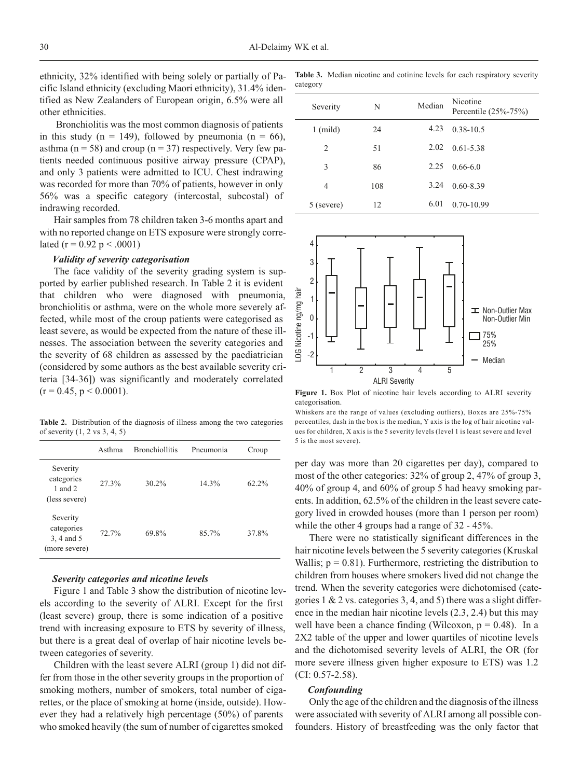ethnicity, 32% identified with being solely or partially of Pacific Island ethnicity (excluding Maori ethnicity), 31.4% identified as New Zealanders of European origin, 6.5% were all other ethnicities.

Bronchiolitis was the most common diagnosis of patients in this study (n = 149), followed by pneumonia (n = 66), asthma ( $n = 58$ ) and croup ( $n = 37$ ) respectively. Very few patients needed continuous positive airway pressure (CPAP), and only 3 patients were admitted to ICU. Chest indrawing was recorded for more than 70% of patients, however in only 56% was a specific category (intercostal, subcostal) of indrawing recorded.

Hair samples from 78 children taken 3-6 months apart and with no reported change on ETS exposure were strongly correlated ( $r = 0.92$  p < .0001)

#### *Validity of severity categorisation*

The face validity of the severity grading system is supported by earlier published research. In Table 2 it is evident that children who were diagnosed with pneumonia, bronchiolitis or asthma, were on the whole more severely affected, while most of the croup patients were categorised as least severe, as would be expected from the nature of these illnesses. The association between the severity categories and the severity of 68 children as assessed by the paediatrician (considered by some authors as the best available severity criteria [34-36]) was significantly and moderately correlated  $(r = 0.45, p \le 0.0001).$ 

**Table 2.** Distribution of the diagnosis of illness among the two categories of severity (1, 2 vs 3, 4, 5)

|                                                       | Asthma | <b>Bronchiollitis</b> | Pneumonia | Croup |
|-------------------------------------------------------|--------|-----------------------|-----------|-------|
| Severity<br>categories<br>1 and $2$<br>(less severe)  | 27.3%  | $30.2\%$              | 14.3%     | 62.2% |
| Severity<br>categories<br>3, 4 and 5<br>(more severe) | 72.7%  | 69.8%                 | 85.7%     | 37.8% |

#### *Severity categories and nicotine levels*

Figure 1 and Table 3 show the distribution of nicotine levels according to the severity of ALRI. Except for the first (least severe) group, there is some indication of a positive trend with increasing exposure to ETS by severity of illness, but there is a great deal of overlap of hair nicotine levels between categories of severity.

Children with the least severe ALRI (group 1) did not differ from those in the other severity groups in the proportion of smoking mothers, number of smokers, total number of cigarettes, or the place of smoking at home (inside, outside). However they had a relatively high percentage (50%) of parents who smoked heavily (the sum of number of cigarettes smoked

**Table 3.** Median nicotine and cotinine levels for each respiratory severity category

| Severity     | N   | Median | Nicotine<br>Percentile (25%-75%) |
|--------------|-----|--------|----------------------------------|
| $1 \pmod{2}$ | 24  | 4.23   | $0.38 - 10.5$                    |
| 2            | 51  | 2.02   | $0.61 - 5.38$                    |
| 3            | 86  | 2.25   | $0.66 - 6.0$                     |
| 4            | 108 | 3.24   | $0.60 - 8.39$                    |
| 5 (severe)   | 12  | 6.01   | $0.70 - 10.99$                   |



**Figure 1.** Box Plot of nicotine hair levels according to ALRI severity categorisation.

Whiskers are the range of values (excluding outliers), Boxes are 25%-75% percentiles, dash in the box is the median, Y axis is the log of hair nicotine values for children, X axis is the 5 severity levels (level 1 is least severe and level 5 is the most severe).

per day was more than 20 cigarettes per day), compared to most of the other categories: 32% of group 2, 47% of group 3, 40% of group 4, and 60% of group 5 had heavy smoking parents. In addition, 62.5% of the children in the least severe category lived in crowded houses (more than 1 person per room) while the other 4 groups had a range of 32 - 45%.

There were no statistically significant differences in the hair nicotine levels between the 5 severity categories (Kruskal Wallis;  $p = 0.81$ ). Furthermore, restricting the distribution to children from houses where smokers lived did not change the trend. When the severity categories were dichotomised (categories  $1 \& 2$  vs. categories 3, 4, and 5) there was a slight difference in the median hair nicotine levels (2.3, 2.4) but this may well have been a chance finding (Wilcoxon,  $p = 0.48$ ). In a 2X2 table of the upper and lower quartiles of nicotine levels and the dichotomised severity levels of ALRI, the OR (for more severe illness given higher exposure to ETS) was 1.2 (CI: 0.57-2.58).

#### *Confounding*

Only the age of the children and the diagnosis of the illness were associated with severity of ALRI among all possible confounders. History of breastfeeding was the only factor that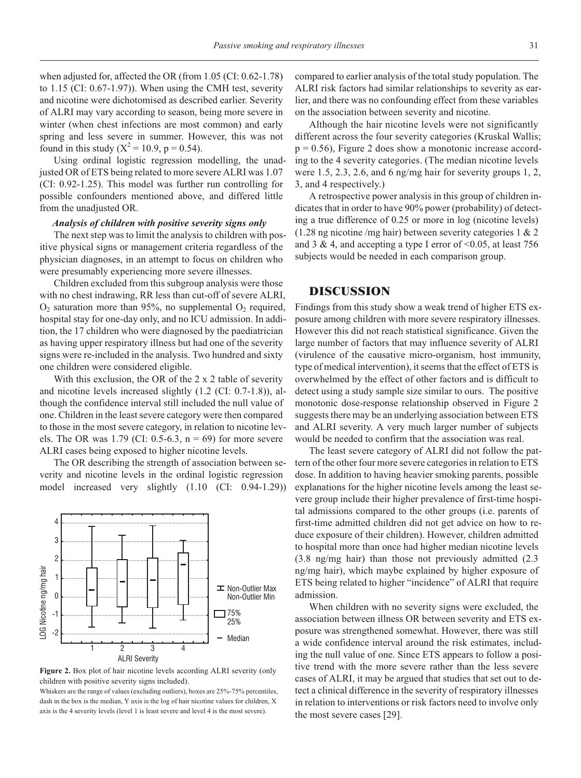when adjusted for, affected the OR (from 1.05 (CI: 0.62-1.78) to 1.15 (CI: 0.67-1.97)). When using the CMH test, severity and nicotine were dichotomised as described earlier. Severity of ALRI may vary according to season, being more severe in winter (when chest infections are most common) and early spring and less severe in summer. However, this was not found in this study ( $X^2 = 10.9$ ,  $p = 0.54$ ).

Using ordinal logistic regression modelling, the unadjusted OR of ETS being related to more severe ALRI was 1.07 (CI: 0.92-1.25). This model was further run controlling for possible confounders mentioned above, and differed little from the unadjusted OR.

#### *Analysis of children with positive severity signs only*

The next step was to limit the analysis to children with positive physical signs or management criteria regardless of the physician diagnoses, in an attempt to focus on children who were presumably experiencing more severe illnesses.

Children excluded from this subgroup analysis were those with no chest indrawing, RR less than cut-off of severe ALRI,  $O_2$  saturation more than 95%, no supplemental  $O_2$  required, hospital stay for one-day only, and no ICU admission. In addition, the 17 children who were diagnosed by the paediatrician as having upper respiratory illness but had one of the severity signs were re-included in the analysis. Two hundred and sixty one children were considered eligible.

With this exclusion, the OR of the  $2 \times 2$  table of severity and nicotine levels increased slightly (1.2 (CI: 0.7-1.8)), although the confidence interval still included the null value of one. Children in the least severe category were then compared to those in the most severe category, in relation to nicotine levels. The OR was 1.79 (CI: 0.5-6.3,  $n = 69$ ) for more severe ALRI cases being exposed to higher nicotine levels.

The OR describing the strength of association between severity and nicotine levels in the ordinal logistic regression model increased very slightly (1.10 (CI: 0.94-1.29))



**Figure 2.** Box plot of hair nicotine levels according ALRI severity (only children with positive severity signs included).

Whiskers are the range of values (excluding outliers), boxes are 25%-75% percentiles, dash in the box is the median, Y axis is the log of hair nicotine values for children, X axis is the 4 severity levels (level 1 is least severe and level 4 is the most severe).

compared to earlier analysis of the total study population. The ALRI risk factors had similar relationships to severity as earlier, and there was no confounding effect from these variables on the association between severity and nicotine.

Although the hair nicotine levels were not significantly different across the four severity categories (Kruskal Wallis;  $p = 0.56$ , Figure 2 does show a monotonic increase according to the 4 severity categories. (The median nicotine levels were 1.5, 2.3, 2.6, and 6 ng/mg hair for severity groups 1, 2, 3, and 4 respectively.)

A retrospective power analysis in this group of children indicates that in order to have 90% power (probability) of detecting a true difference of 0.25 or more in log (nicotine levels) (1.28 ng nicotine /mg hair) between severity categories 1  $& 2$ and 3 & 4, and accepting a type I error of  $\leq 0.05$ , at least 756 subjects would be needed in each comparison group.

# DISCUSSION

Findings from this study show a weak trend of higher ETS exposure among children with more severe respiratory illnesses. However this did not reach statistical significance. Given the large number of factors that may influence severity of ALRI (virulence of the causative micro-organism, host immunity, type of medical intervention), it seems that the effect of ETS is overwhelmed by the effect of other factors and is difficult to detect using a study sample size similar to ours. The positive monotonic dose-response relationship observed in Figure 2 suggests there may be an underlying association between ETS and ALRI severity. A very much larger number of subjects would be needed to confirm that the association was real.

The least severe category of ALRI did not follow the pattern of the other four more severe categories in relation to ETS dose. In addition to having heavier smoking parents, possible explanations for the higher nicotine levels among the least severe group include their higher prevalence of first-time hospital admissions compared to the other groups (i.e. parents of first-time admitted children did not get advice on how to reduce exposure of their children). However, children admitted to hospital more than once had higher median nicotine levels (3.8 ng/mg hair) than those not previously admitted (2.3 ng/mg hair), which maybe explained by higher exposure of ETS being related to higher "incidence" of ALRI that require admission.

When children with no severity signs were excluded, the association between illness OR between severity and ETS exposure was strengthened somewhat. However, there was still a wide confidence interval around the risk estimates, including the null value of one. Since ETS appears to follow a positive trend with the more severe rather than the less severe cases of ALRI, it may be argued that studies that set out to detect a clinical difference in the severity of respiratory illnesses in relation to interventions or risk factors need to involve only the most severe cases [29].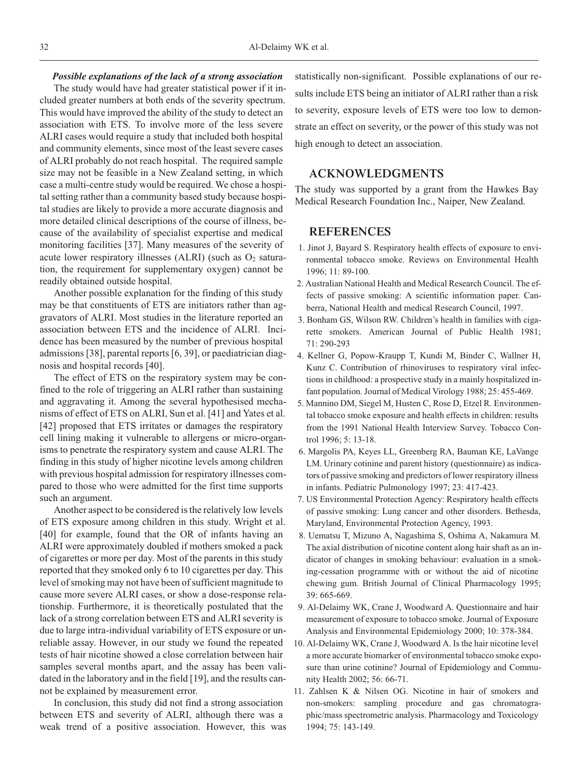*Possible explanations of the lack of a strong association* The study would have had greater statistical power if it included greater numbers at both ends of the severity spectrum. This would have improved the ability of the study to detect an association with ETS. To involve more of the less severe ALRI cases would require a study that included both hospital and community elements, since most of the least severe cases of ALRI probably do not reach hospital. The required sample size may not be feasible in a New Zealand setting, in which case a multi-centre study would be required. We chose a hospital setting rather than a community based study because hospital studies are likely to provide a more accurate diagnosis and more detailed clinical descriptions of the course of illness, because of the availability of specialist expertise and medical monitoring facilities [37]. Many measures of the severity of acute lower respiratory illnesses (ALRI) (such as  $O<sub>2</sub>$  saturation, the requirement for supplementary oxygen) cannot be readily obtained outside hospital.

Another possible explanation for the finding of this study may be that constituents of ETS are initiators rather than aggravators of ALRI. Most studies in the literature reported an association between ETS and the incidence of ALRI. Incidence has been measured by the number of previous hospital admissions [38], parental reports [6, 39], or paediatrician diagnosis and hospital records [40].

The effect of ETS on the respiratory system may be confined to the role of triggering an ALRI rather than sustaining and aggravating it. Among the several hypothesised mechanisms of effect of ETS on ALRI, Sun et al. [41] and Yates et al. [42] proposed that ETS irritates or damages the respiratory cell lining making it vulnerable to allergens or micro-organisms to penetrate the respiratory system and cause ALRI. The finding in this study of higher nicotine levels among children with previous hospital admission for respiratory illnesses compared to those who were admitted for the first time supports such an argument.

Another aspect to be considered is the relatively low levels of ETS exposure among children in this study. Wright et al. [40] for example, found that the OR of infants having an ALRI were approximately doubled if mothers smoked a pack of cigarettes or more per day. Most of the parents in this study reported that they smoked only 6 to 10 cigarettes per day. This level of smoking may not have been of sufficient magnitude to cause more severe ALRI cases, or show a dose-response relationship. Furthermore, it is theoretically postulated that the lack of a strong correlation between ETS and ALRI severity is due to large intra-individual variability of ETS exposure or unreliable assay. However, in our study we found the repeated tests of hair nicotine showed a close correlation between hair samples several months apart, and the assay has been validated in the laboratory and in the field [19], and the results cannot be explained by measurement error.

In conclusion, this study did not find a strong association between ETS and severity of ALRI, although there was a weak trend of a positive association. However, this was statistically non-significant. Possible explanations of our results include ETS being an initiator of ALRI rather than a risk to severity, exposure levels of ETS were too low to demonstrate an effect on severity, or the power of this study was not high enough to detect an association.

## ACKNOWLEDGMENTS

The study was supported by a grant from the Hawkes Bay Medical Research Foundation Inc., Naiper, New Zealand.

## **REFERENCES**

- 1. Jinot J, Bayard S. Respiratory health effects of exposure to environmental tobacco smoke. Reviews on Environmental Health 1996; 11: 89-100.
- 2. Australian National Health and Medical Research Council. The effects of passive smoking: A scientific information paper. Canberra, National Health and medical Research Council, 1997.
- 3. Bonham GS, Wilson RW. Children's health in families with cigarette smokers. American Journal of Public Health 1981; 71: 290-293
- 4. Kellner G, Popow-Kraupp T, Kundi M, Binder C, Wallner H, Kunz C. Contribution of rhinoviruses to respiratory viral infections in childhood: a prospective study in a mainly hospitalized infant population. Journal of Medical Virology 1988; 25: 455-469.
- 5. Mannino DM, Siegel M, Husten C, Rose D, Etzel R. Environmental tobacco smoke exposure and health effects in children: results from the 1991 National Health Interview Survey. Tobacco Control 1996; 5: 13-18.
- 6. Margolis PA, Keyes LL, Greenberg RA, Bauman KE, LaVange LM. Urinary cotinine and parent history (questionnaire) as indicators of passive smoking and predictors of lower respiratory illness in infants. Pediatric Pulmonology 1997; 23: 417-423.
- 7. US Environmental Protection Agency: Respiratory health effects of passive smoking: Lung cancer and other disorders. Bethesda, Maryland, Environmental Protection Agency, 1993.
- 8. Uematsu T, Mizuno A, Nagashima S, Oshima A, Nakamura M. The axial distribution of nicotine content along hair shaft as an indicator of changes in smoking behaviour: evaluation in a smoking-cessation programme with or without the aid of nicotine chewing gum. British Journal of Clinical Pharmacology 1995; 39: 665-669.
- 9. Al-Delaimy WK, Crane J, Woodward A. Questionnaire and hair measurement of exposure to tobacco smoke. Journal of Exposure Analysis and Environmental Epidemiology 2000; 10: 378-384.
- 10. Al-Delaimy WK, Crane J, Woodward A. Is the hair nicotine level a more accurate biomarker of environmental tobacco smoke exposure than urine cotinine? Journal of Epidemiology and Community Health 2002; 56: 66-71.
- 11. Zahlsen K & Nilsen OG. Nicotine in hair of smokers and non-smokers: sampling procedure and gas chromatographic/mass spectrometric analysis. Pharmacology and Toxicology 1994; 75: 143-149.